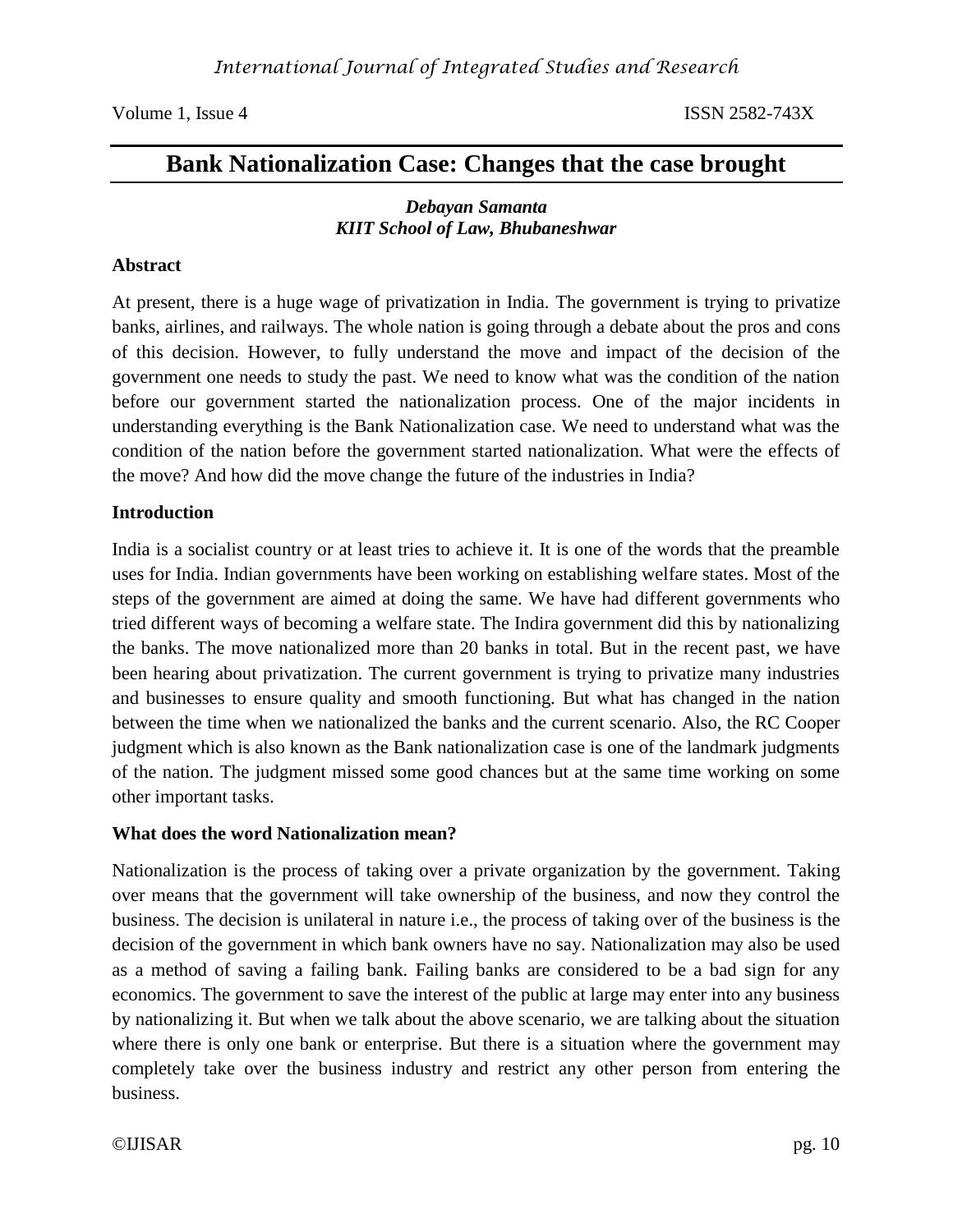# **Bank Nationalization Case: Changes that the case brought**

## *Debayan Samanta KIIT School of Law, Bhubaneshwar*

## **Abstract**

At present, there is a huge wage of privatization in India. The government is trying to privatize banks, airlines, and railways. The whole nation is going through a debate about the pros and cons of this decision. However, to fully understand the move and impact of the decision of the government one needs to study the past. We need to know what was the condition of the nation before our government started the nationalization process. One of the major incidents in understanding everything is the Bank Nationalization case. We need to understand what was the condition of the nation before the government started nationalization. What were the effects of the move? And how did the move change the future of the industries in India?

### **Introduction**

India is a socialist country or at least tries to achieve it. It is one of the words that the preamble uses for India. Indian governments have been working on establishing welfare states. Most of the steps of the government are aimed at doing the same. We have had different governments who tried different ways of becoming a welfare state. The Indira government did this by nationalizing the banks. The move nationalized more than 20 banks in total. But in the recent past, we have been hearing about privatization. The current government is trying to privatize many industries and businesses to ensure quality and smooth functioning. But what has changed in the nation between the time when we nationalized the banks and the current scenario. Also, the RC Cooper judgment which is also known as the Bank nationalization case is one of the landmark judgments of the nation. The judgment missed some good chances but at the same time working on some other important tasks.

### **What does the word Nationalization mean?**

Nationalization is the process of taking over a private organization by the government. Taking over means that the government will take ownership of the business, and now they control the business. The decision is unilateral in nature i.e., the process of taking over of the business is the decision of the government in which bank owners have no say. Nationalization may also be used as a method of saving a failing bank. Failing banks are considered to be a bad sign for any economics. The government to save the interest of the public at large may enter into any business by nationalizing it. But when we talk about the above scenario, we are talking about the situation where there is only one bank or enterprise. But there is a situation where the government may completely take over the business industry and restrict any other person from entering the business.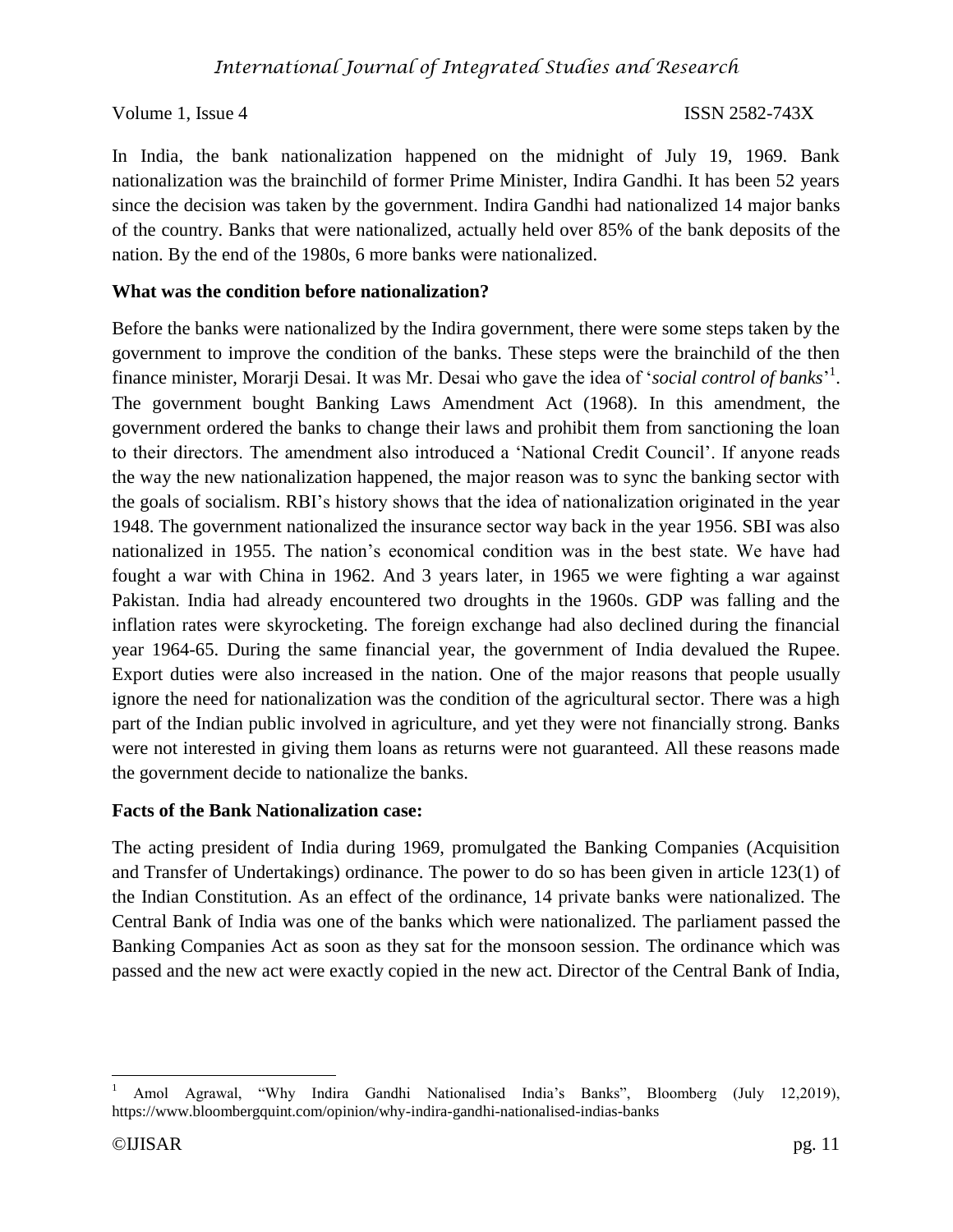In India, the bank nationalization happened on the midnight of July 19, 1969. Bank nationalization was the brainchild of former Prime Minister, Indira Gandhi. It has been 52 years since the decision was taken by the government. Indira Gandhi had nationalized 14 major banks of the country. Banks that were nationalized, actually held over 85% of the bank deposits of the nation. By the end of the 1980s, 6 more banks were nationalized.

## **What was the condition before nationalization?**

Before the banks were nationalized by the Indira government, there were some steps taken by the government to improve the condition of the banks. These steps were the brainchild of the then finance minister, Morarji Desai. It was Mr. Desai who gave the idea of '*social control of banks*' 1 . The government bought Banking Laws Amendment Act (1968). In this amendment, the government ordered the banks to change their laws and prohibit them from sanctioning the loan to their directors. The amendment also introduced a 'National Credit Council'. If anyone reads the way the new nationalization happened, the major reason was to sync the banking sector with the goals of socialism. RBI's history shows that the idea of nationalization originated in the year 1948. The government nationalized the insurance sector way back in the year 1956. SBI was also nationalized in 1955. The nation's economical condition was in the best state. We have had fought a war with China in 1962. And 3 years later, in 1965 we were fighting a war against Pakistan. India had already encountered two droughts in the 1960s. GDP was falling and the inflation rates were skyrocketing. The foreign exchange had also declined during the financial year 1964-65. During the same financial year, the government of India devalued the Rupee. Export duties were also increased in the nation. One of the major reasons that people usually ignore the need for nationalization was the condition of the agricultural sector. There was a high part of the Indian public involved in agriculture, and yet they were not financially strong. Banks were not interested in giving them loans as returns were not guaranteed. All these reasons made the government decide to nationalize the banks.

## **Facts of the Bank Nationalization case:**

The acting president of India during 1969, promulgated the Banking Companies (Acquisition and Transfer of Undertakings) ordinance. The power to do so has been given in article 123(1) of the Indian Constitution. As an effect of the ordinance, 14 private banks were nationalized. The Central Bank of India was one of the banks which were nationalized. The parliament passed the Banking Companies Act as soon as they sat for the monsoon session. The ordinance which was passed and the new act were exactly copied in the new act. Director of the Central Bank of India,

 $\overline{\phantom{a}}$ <sup>1</sup> Amol Agrawal, "Why Indira Gandhi Nationalised India's Banks", Bloomberg (July 12,2019), https://www.bloombergquint.com/opinion/why-indira-gandhi-nationalised-indias-banks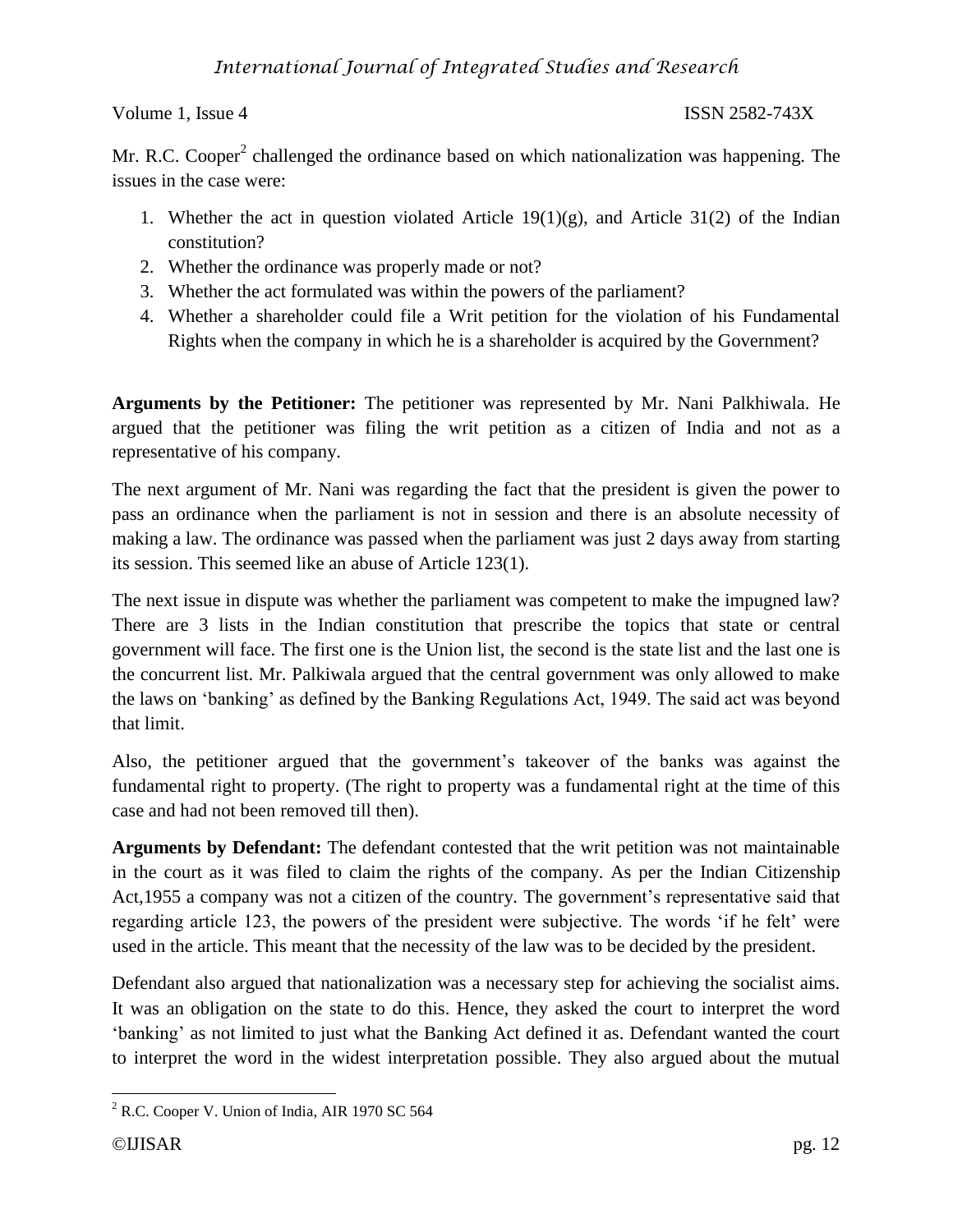Mr. R.C. Cooper<sup>2</sup> challenged the ordinance based on which nationalization was happening. The issues in the case were:

- 1. Whether the act in question violated Article  $19(1)(g)$ , and Article  $31(2)$  of the Indian constitution?
- 2. Whether the ordinance was properly made or not?
- 3. Whether the act formulated was within the powers of the parliament?
- 4. Whether a shareholder could file a Writ petition for the violation of his Fundamental Rights when the company in which he is a shareholder is acquired by the Government?

**Arguments by the Petitioner:** The petitioner was represented by Mr. Nani Palkhiwala. He argued that the petitioner was filing the writ petition as a citizen of India and not as a representative of his company.

The next argument of Mr. Nani was regarding the fact that the president is given the power to pass an ordinance when the parliament is not in session and there is an absolute necessity of making a law. The ordinance was passed when the parliament was just 2 days away from starting its session. This seemed like an abuse of Article 123(1).

The next issue in dispute was whether the parliament was competent to make the impugned law? There are 3 lists in the Indian constitution that prescribe the topics that state or central government will face. The first one is the Union list, the second is the state list and the last one is the concurrent list. Mr. Palkiwala argued that the central government was only allowed to make the laws on 'banking' as defined by the Banking Regulations Act, 1949. The said act was beyond that limit.

Also, the petitioner argued that the government's takeover of the banks was against the fundamental right to property. (The right to property was a fundamental right at the time of this case and had not been removed till then).

**Arguments by Defendant:** The defendant contested that the writ petition was not maintainable in the court as it was filed to claim the rights of the company. As per the Indian Citizenship Act,1955 a company was not a citizen of the country. The government's representative said that regarding article 123, the powers of the president were subjective. The words 'if he felt' were used in the article. This meant that the necessity of the law was to be decided by the president.

Defendant also argued that nationalization was a necessary step for achieving the socialist aims. It was an obligation on the state to do this. Hence, they asked the court to interpret the word 'banking' as not limited to just what the Banking Act defined it as. Defendant wanted the court to interpret the word in the widest interpretation possible. They also argued about the mutual

 $\overline{\phantom{a}}$  $2^2$  R.C. Cooper V. Union of India, AIR 1970 SC 564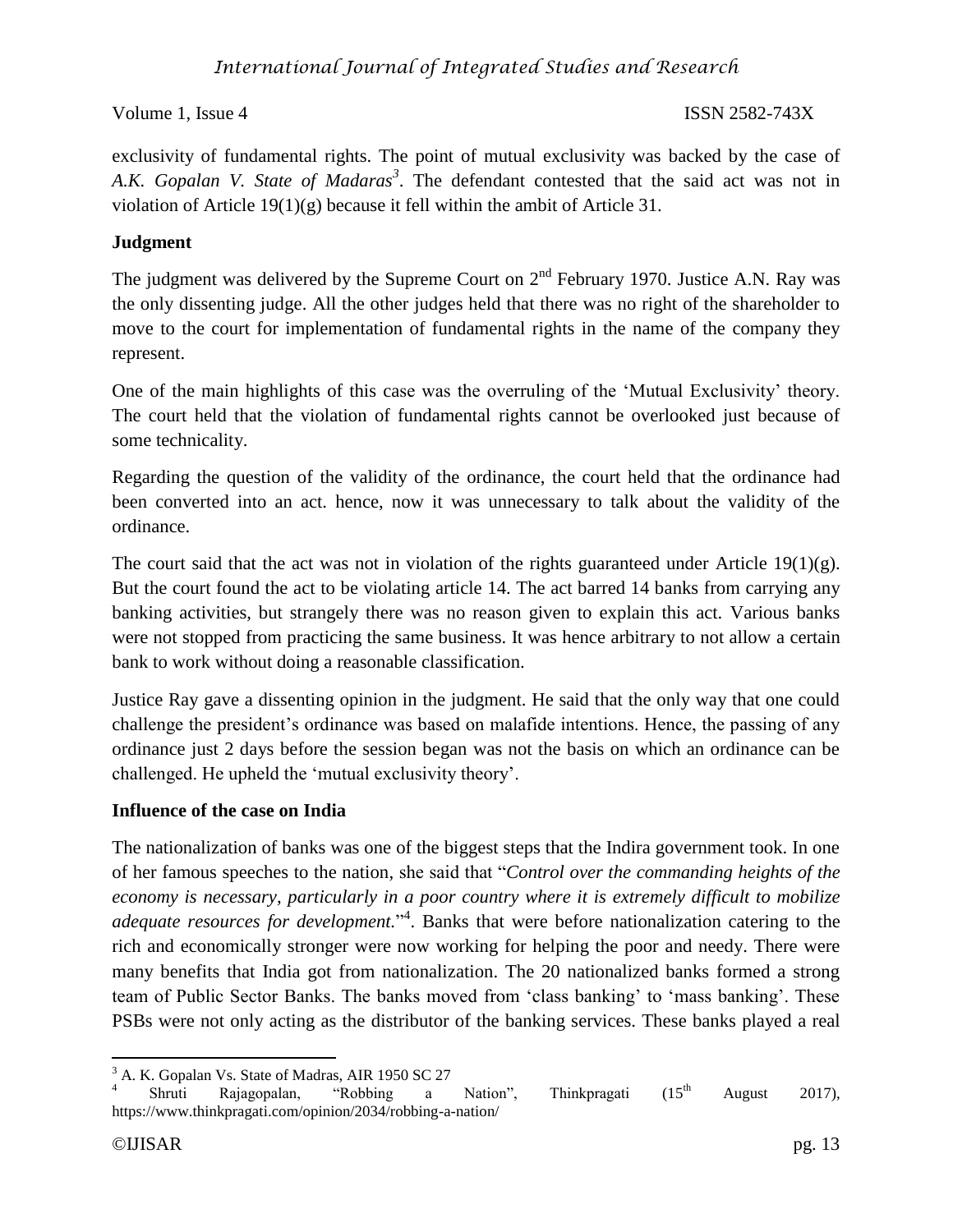# *International Journal of Integrated Studies and Research*

Volume 1, Issue 4 ISSN 2582-743X

exclusivity of fundamental rights. The point of mutual exclusivity was backed by the case of *A.K. Gopalan V. State of Madaras<sup>3</sup>* . The defendant contested that the said act was not in violation of Article 19(1)(g) because it fell within the ambit of Article 31.

# **Judgment**

The judgment was delivered by the Supreme Court on  $2<sup>nd</sup>$  February 1970. Justice A.N. Ray was the only dissenting judge. All the other judges held that there was no right of the shareholder to move to the court for implementation of fundamental rights in the name of the company they represent.

One of the main highlights of this case was the overruling of the 'Mutual Exclusivity' theory. The court held that the violation of fundamental rights cannot be overlooked just because of some technicality.

Regarding the question of the validity of the ordinance, the court held that the ordinance had been converted into an act. hence, now it was unnecessary to talk about the validity of the ordinance.

The court said that the act was not in violation of the rights guaranteed under Article  $19(1)(g)$ . But the court found the act to be violating article 14. The act barred 14 banks from carrying any banking activities, but strangely there was no reason given to explain this act. Various banks were not stopped from practicing the same business. It was hence arbitrary to not allow a certain bank to work without doing a reasonable classification.

Justice Ray gave a dissenting opinion in the judgment. He said that the only way that one could challenge the president's ordinance was based on malafide intentions. Hence, the passing of any ordinance just 2 days before the session began was not the basis on which an ordinance can be challenged. He upheld the 'mutual exclusivity theory'.

## **Influence of the case on India**

The nationalization of banks was one of the biggest steps that the Indira government took. In one of her famous speeches to the nation, she said that "*Control over the commanding heights of the economy is necessary, particularly in a poor country where it is extremely difficult to mobilize adequate resources for development.*" 4 . Banks that were before nationalization catering to the rich and economically stronger were now working for helping the poor and needy. There were many benefits that India got from nationalization. The 20 nationalized banks formed a strong team of Public Sector Banks. The banks moved from 'class banking' to 'mass banking'. These PSBs were not only acting as the distributor of the banking services. These banks played a real

 $\overline{\phantom{a}}$ <sup>3</sup> A. K. Gopalan Vs. State of Madras, AIR 1950 SC 27

<sup>4</sup> Shruti Rajagopalan, "Robbing a Nation", Thinkpragati  $(15<sup>th</sup>$  August 2017), https://www.thinkpragati.com/opinion/2034/robbing-a-nation/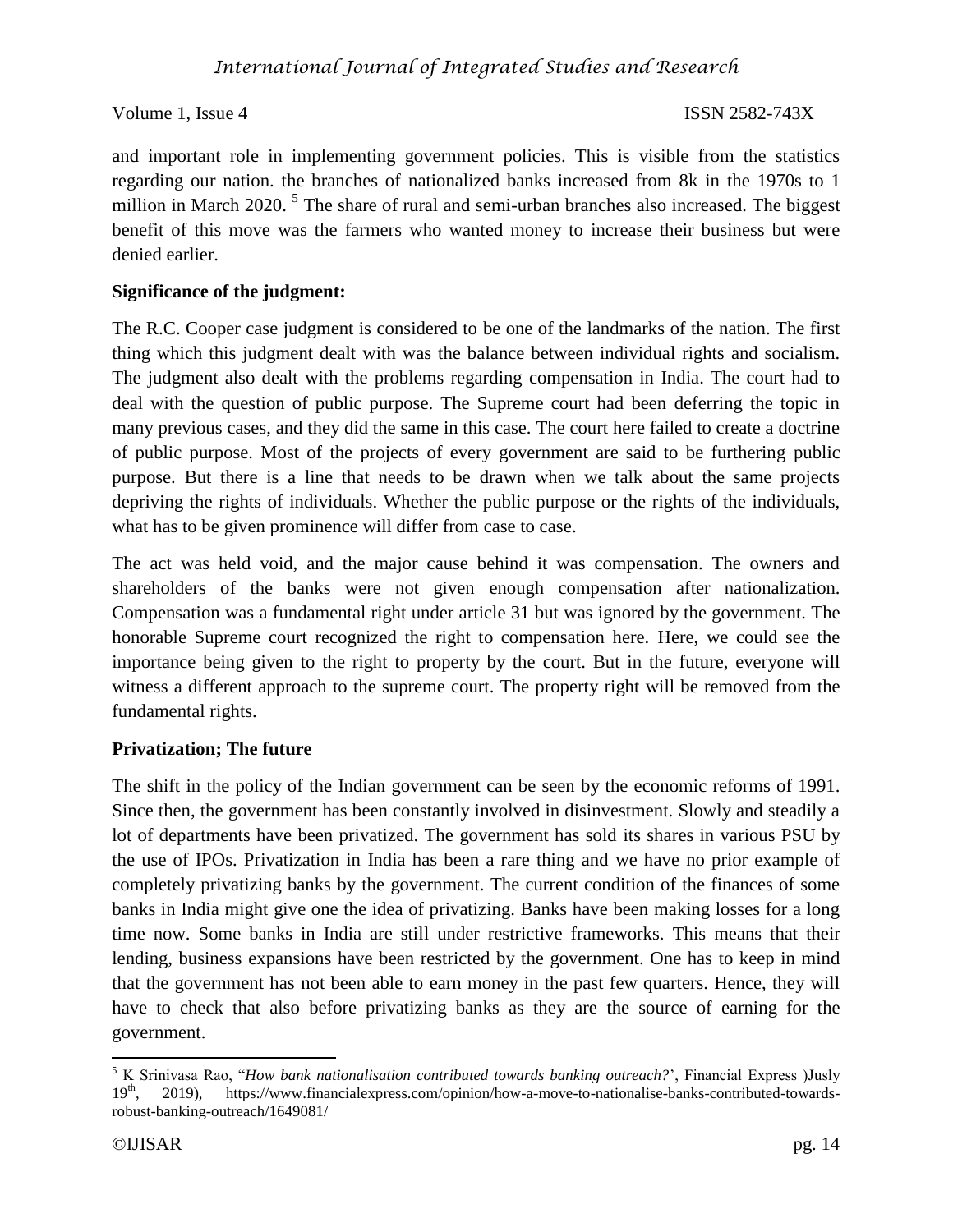and important role in implementing government policies. This is visible from the statistics regarding our nation. the branches of nationalized banks increased from 8k in the 1970s to 1 million in March 2020.<sup>5</sup> The share of rural and semi-urban branches also increased. The biggest benefit of this move was the farmers who wanted money to increase their business but were denied earlier.

# **Significance of the judgment:**

The R.C. Cooper case judgment is considered to be one of the landmarks of the nation. The first thing which this judgment dealt with was the balance between individual rights and socialism. The judgment also dealt with the problems regarding compensation in India. The court had to deal with the question of public purpose. The Supreme court had been deferring the topic in many previous cases, and they did the same in this case. The court here failed to create a doctrine of public purpose. Most of the projects of every government are said to be furthering public purpose. But there is a line that needs to be drawn when we talk about the same projects depriving the rights of individuals. Whether the public purpose or the rights of the individuals, what has to be given prominence will differ from case to case.

The act was held void, and the major cause behind it was compensation. The owners and shareholders of the banks were not given enough compensation after nationalization. Compensation was a fundamental right under article 31 but was ignored by the government. The honorable Supreme court recognized the right to compensation here. Here, we could see the importance being given to the right to property by the court. But in the future, everyone will witness a different approach to the supreme court. The property right will be removed from the fundamental rights.

# **Privatization; The future**

The shift in the policy of the Indian government can be seen by the economic reforms of 1991. Since then, the government has been constantly involved in disinvestment. Slowly and steadily a lot of departments have been privatized. The government has sold its shares in various PSU by the use of IPOs. Privatization in India has been a rare thing and we have no prior example of completely privatizing banks by the government. The current condition of the finances of some banks in India might give one the idea of privatizing. Banks have been making losses for a long time now. Some banks in India are still under restrictive frameworks. This means that their lending, business expansions have been restricted by the government. One has to keep in mind that the government has not been able to earn money in the past few quarters. Hence, they will have to check that also before privatizing banks as they are the source of earning for the government.

 $\overline{\phantom{a}}$ <sup>5</sup> K Srinivasa Rao, "*How bank nationalisation contributed towards banking outreach?*', Financial Express )Jusly  $19<sup>th</sup>$ . 2019). https://www.financialexpress.com/opinion/how-a-move-to-nationalise-banks-contributed-to 19th, 2019), https://www.financialexpress.com/opinion/how-a-move-to-nationalise-banks-contributed-towardsrobust-banking-outreach/1649081/